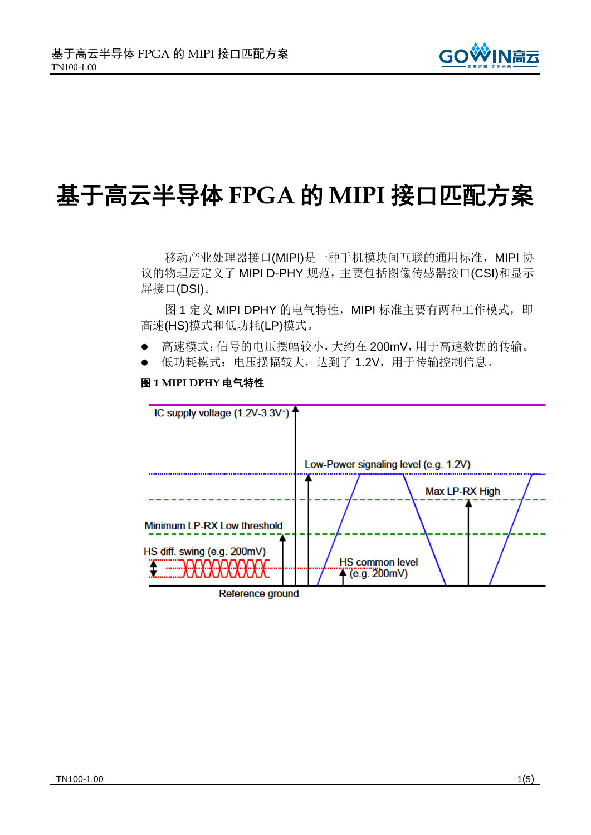

# 基于高云半导体 **FPGA** 的 **MIPI** 接口匹配方案

移动产业处理器接口(MIPI)是一种手机模块间互联的通用标准, MIPI 协 议的物理层定义了 MIPI D-PHY 规范,主要包括图像传感器接口(CSI)和显示 屏接口(DSI)。

[图](#page-0-0) 1 定义 MIPI DPHY 的电气特性, MIPI 标准主要有两种工作模式, 即 高速(HS)模式和低功耗(LP)模式。

- 高速模式:信号的电压摆幅较小,大约在 200mV,用于高速数据的传输。
- 低功耗模式:电压摆幅较大,达到了 1.2V,用于传输控制信息。

## 图 **1 MIPI DPHY** 电气特性

<span id="page-0-0"></span>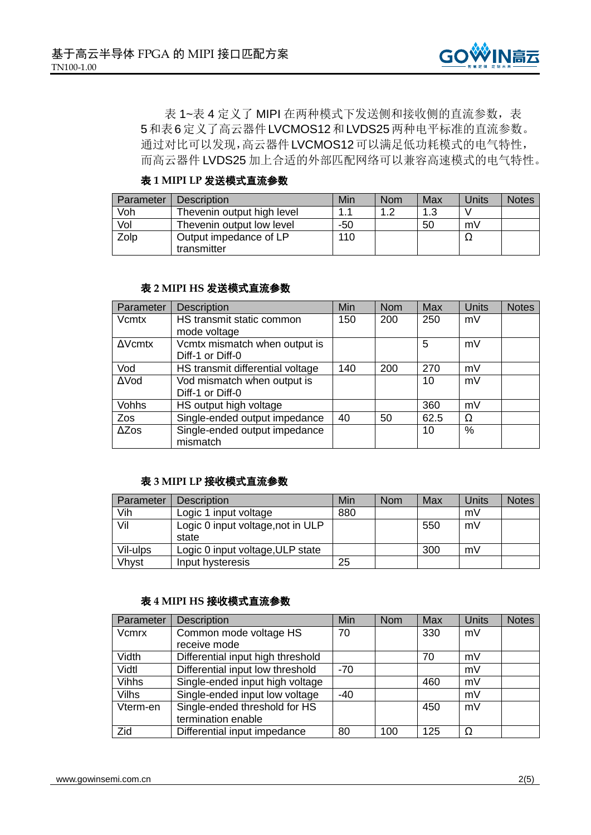

[表](#page-1-0) 1~[表](#page-1-1) 4 定义了 MIPI 在两种模式下发送侧和接收侧的直流参数[,表](#page-2-0) [5](#page-2-0)[和表](#page-2-1)6定义了高云器件LVCMOS12和LVDS25两种电平标准的直流参数。 通过对比可以发现,高云器件LVCMOS12可以满足低功耗模式的电气特性, 而高云器件 LVDS25 加上合适的外部匹配网络可以兼容高速模式的电气特性。

## 表 **1 MIPI LP** 发送模式直流参数

<span id="page-1-0"></span>

| Parameter | Description                | Min | <b>Nom</b> | Max | Units | <b>Notes</b> |
|-----------|----------------------------|-----|------------|-----|-------|--------------|
| Voh       | Thevenin output high level |     | ィっ         | 1.3 |       |              |
| Vol       | Thevenin output low level  | -50 |            | 50  | mV    |              |
| Zolp      | Output impedance of LP     | 110 |            |     | 77    |              |
|           | transmitter                |     |            |     |       |              |

#### 表 **2 MIPI HS** 发送模式直流参数

| Parameter      | <b>Description</b>                        | Min | <b>Nom</b> | <b>Max</b> | Units | <b>Notes</b> |
|----------------|-------------------------------------------|-----|------------|------------|-------|--------------|
| Vcmtx          | HS transmit static common                 | 150 | 200        | 250        | mV    |              |
|                | mode voltage                              |     |            |            |       |              |
| $\Delta$ Vcmtx | Vcmtx mismatch when output is             |     |            | 5          | mV    |              |
|                | Diff-1 or Diff-0                          |     |            |            |       |              |
| Vod            | HS transmit differential voltage          | 140 | 200        | 270        | mV    |              |
| ΔVod           | Vod mismatch when output is               |     |            | 10         | mV    |              |
|                | Diff-1 or Diff-0                          |     |            |            |       |              |
| Vohhs          | HS output high voltage                    |     |            | 360        | mV    |              |
| Zos            | Single-ended output impedance             | 40  | 50         | 62.5       | Ω     |              |
| $\Delta Z$ os  | Single-ended output impedance<br>mismatch |     |            | 10         | $\%$  |              |

## 表 **3 MIPI LP** 接收模式直流参数

| Parameter | <b>Description</b>                         | Min | <b>Nom</b> | Max | Units | <b>Notes</b> |
|-----------|--------------------------------------------|-----|------------|-----|-------|--------------|
| Vih       | Logic 1 input voltage                      | 880 |            |     | mV    |              |
| Vil       | Logic 0 input voltage, not in ULP<br>state |     |            | 550 | mV    |              |
| Vil-ulps  | Logic 0 input voltage, ULP state           |     |            | 300 | mV    |              |
| Vhyst     | Input hysteresis                           | 25  |            |     |       |              |

#### 表 **4 MIPI HS** 接收模式直流参数

<span id="page-1-1"></span>

| Parameter    | <b>Description</b>                | Min   | <b>Nom</b> | <b>Max</b> | Units | <b>Notes</b> |
|--------------|-----------------------------------|-------|------------|------------|-------|--------------|
| Vcmrx        | Common mode voltage HS            | 70    |            | 330        | mV    |              |
|              | receive mode                      |       |            |            |       |              |
| Vidth        | Differential input high threshold |       |            | 70         | mV    |              |
| Vidtl        | Differential input low threshold  | $-70$ |            |            | mV    |              |
| <b>Vihhs</b> | Single-ended input high voltage   |       |            | 460        | mV    |              |
| <b>Vilhs</b> | Single-ended input low voltage    | $-40$ |            |            | mV    |              |
| Vterm-en     | Single-ended threshold for HS     |       |            | 450        | mV    |              |
|              | termination enable                |       |            |            |       |              |
| Zid          | Differential input impedance      | 80    | 100        | 125        | Ω     |              |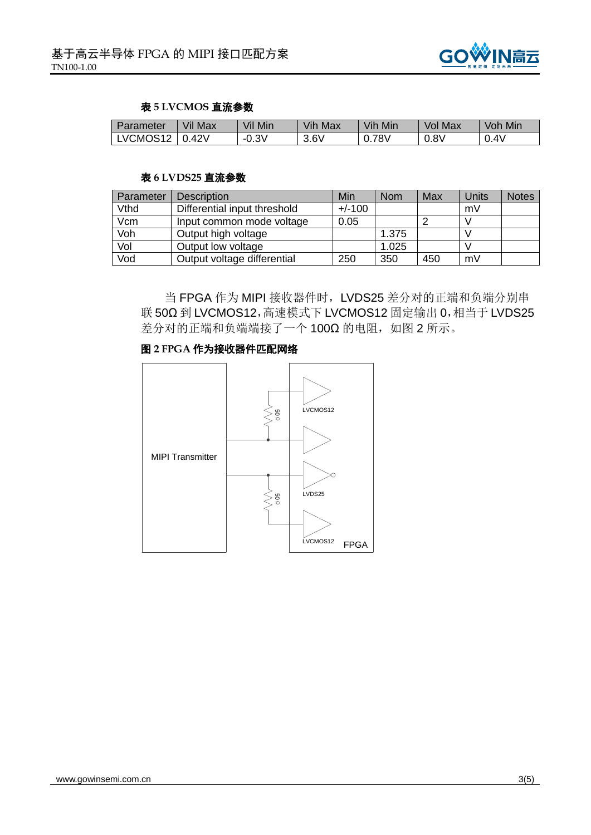

#### 表 **5 LVCMOS** 直流参数

<span id="page-2-0"></span>

| Parameter | Vil Max | Vil Mir | Vih<br>Max | Vih<br>Min             | Max<br>Vol | Mir<br>Voh |
|-----------|---------|---------|------------|------------------------|------------|------------|
| LVCMOS12  | .42V    | $-0.3V$ | 3.6V       | 78 <sub>V</sub><br>∪.≀ | 0.8V       | $0.4\vee$  |

#### 表 **6 LVDS25** 直流参数

<span id="page-2-1"></span>

| Parameter | <b>Description</b>           | Min      | <b>Nom</b> | Max | Units | <b>Notes</b> |
|-----------|------------------------------|----------|------------|-----|-------|--------------|
| Vthd      | Differential input threshold | $+/-100$ |            |     | mV    |              |
| Vcm       | Input common mode voltage    | 0.05     |            |     |       |              |
| Voh       | Output high voltage          |          | 1.375      |     |       |              |
| Vol       | Output low voltage           |          | 1.025      |     |       |              |
| Vod       | Output voltage differential  | 250      | 350        | 450 | mV    |              |

当 FPGA 作为 MIPI 接收器件时,LVDS25 差分对的正端和负端分别串 联 50Ω 到 LVCMOS12,高速模式下 LVCMOS12 固定输出 0,相当于 LVDS25 差分对的正端和负端端接了一个 100Ω 的电阻, [如图](#page-2-2) 2 所示。

# 图 **2 FPGA** 作为接收器件匹配网络

<span id="page-2-2"></span>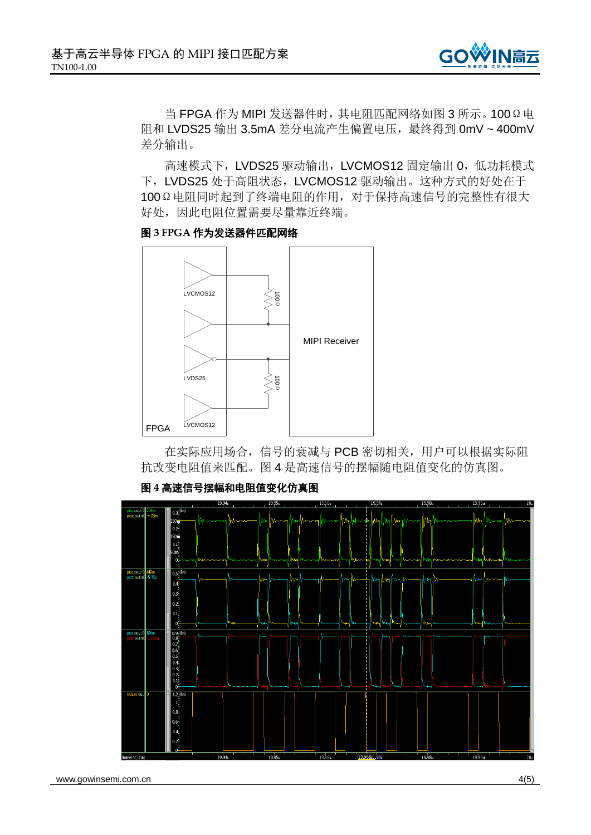

当 FPGA 作为 MIPI 发送器件时,其电阻匹配网络[如图](#page-3-0) 3 所示。100Ω电 阻和 LVDS25 输出 3.5mA 差分电流产生偏置电压,最终得到 0mV ~ 400mV 差分输出。

高速模式下, LVDS25 驱动输出, LVCMOS12 固定输出 0, 低功耗模式 下, LVDS25 处于高阻状态, LVCMOS12 驱动输出。这种方式的好处在于 100Ω电阻同时起到了终端电阻的作用,对于保持高速信号的完整性有很大 好处,因此电阻位置需要尽量靠近终端。

<span id="page-3-0"></span>



在实际应用场合,信号的衰减与 PCB 密切相关,用户可以根据实际阻 抗改变电阻值来匹配[。图](#page-3-1) 4 是高速信号的摆幅随电阻值变化的仿真图。

## 图 **4** 高速信号摆幅和电阻值变化仿真图

<span id="page-3-1"></span>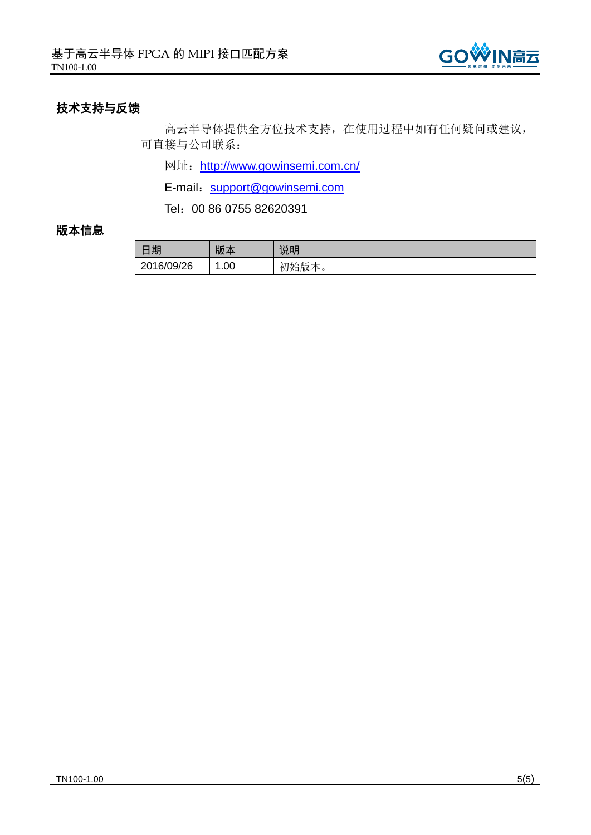

# 技术支持与反馈

高云半导体提供全方位技术支持,在使用过程中如有任何疑问或建议, 可直接与公司联系:

网址: <http://www.gowinsemi.com.cn/>

E-mail: <support@gowinsemi.com>

Tel:00 86 0755 82620391

# 版本信息

| 日期         | 版本  | 说明    |
|------------|-----|-------|
| 2016/09/26 | .00 | 初始版本。 |